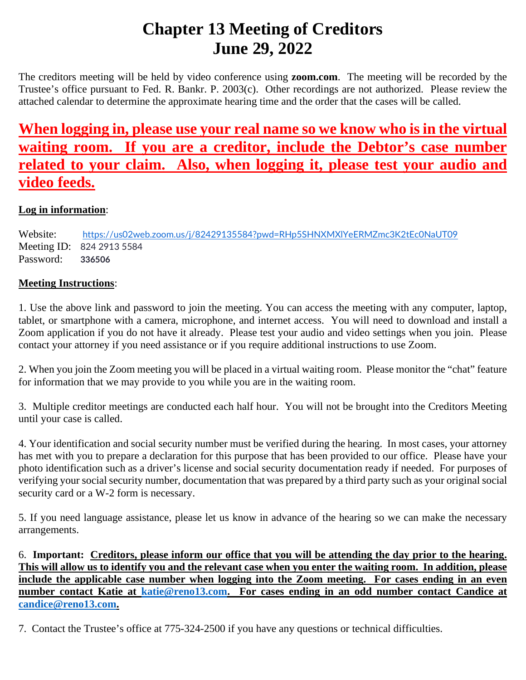# **Chapter 13 Meeting of Creditors June 29, 2022**

The creditors meeting will be held by video conference using **zoom.com**. The meeting will be recorded by the Trustee's office pursuant to Fed. R. Bankr. P. 2003(c). Other recordings are not authorized. Please review the attached calendar to determine the approximate hearing time and the order that the cases will be called.

## **When logging in, please use your real name so we know who is in the virtual waiting room. If you are a creditor, include the Debtor's case number related to your claim. Also, when logging it, please test your audio and video feeds.**

## **Log in information**:

Website: <https://us02web.zoom.us/j/82429135584?pwd=RHp5SHNXMXlYeERMZmc3K2tEc0NaUT09> Meeting ID: 824 2913 5584 Password: **336506**

### **Meeting Instructions**:

1. Use the above link and password to join the meeting. You can access the meeting with any computer, laptop, tablet, or smartphone with a camera, microphone, and internet access. You will need to download and install a Zoom application if you do not have it already. Please test your audio and video settings when you join. Please contact your attorney if you need assistance or if you require additional instructions to use Zoom.

2. When you join the Zoom meeting you will be placed in a virtual waiting room. Please monitor the "chat" feature for information that we may provide to you while you are in the waiting room.

3. Multiple creditor meetings are conducted each half hour. You will not be brought into the Creditors Meeting until your case is called.

4. Your identification and social security number must be verified during the hearing. In most cases, your attorney has met with you to prepare a declaration for this purpose that has been provided to our office. Please have your photo identification such as a driver's license and social security documentation ready if needed. For purposes of verifying your social security number, documentation that was prepared by a third party such as your original social security card or a W-2 form is necessary.

5. If you need language assistance, please let us know in advance of the hearing so we can make the necessary arrangements.

6. **Important: Creditors, please inform our office that you will be attending the day prior to the hearing. This will allow us to identify you and the relevant case when you enter the waiting room. In addition, please include the applicable case number when logging into the Zoom meeting. For cases ending in an even number contact Katie at [katie@reno13.com.](mailto:katie@reno13.com) For cases ending in an odd number contact Candice at [candice@reno13.com.](mailto:candice@reno13.com)**

7. Contact the Trustee's office at 775-324-2500 if you have any questions or technical difficulties.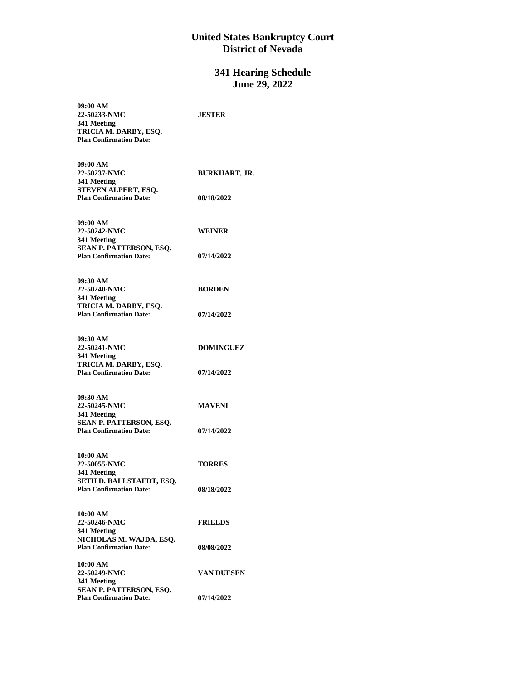#### **United States Bankruptcy Court District of Nevada**

### **341 Hearing Schedule June 29, 2022**

| 09:00 AM<br>22-50233-NMC                                  | <b>JESTER</b>        |
|-----------------------------------------------------------|----------------------|
| 341 Meeting                                               |                      |
| TRICIA M. DARBY, ESQ.<br><b>Plan Confirmation Date:</b>   |                      |
|                                                           |                      |
| 09:00 AM                                                  |                      |
| 22-50237-NMC                                              | <b>BURKHART, JR.</b> |
| 341 Meeting                                               |                      |
| STEVEN ALPERT, ESQ.<br><b>Plan Confirmation Date:</b>     | 08/18/2022           |
|                                                           |                      |
| 09:00 AM                                                  |                      |
| 22-50242-NMC                                              | WEINER               |
| 341 Meeting                                               |                      |
| SEAN P. PATTERSON, ESQ.<br><b>Plan Confirmation Date:</b> | 07/14/2022           |
|                                                           |                      |
| 09:30 AM                                                  |                      |
| 22-50240-NMC                                              | <b>BORDEN</b>        |
| 341 Meeting<br>TRICIA M. DARBY, ESQ.                      |                      |
| <b>Plan Confirmation Date:</b>                            | 07/14/2022           |
|                                                           |                      |
| 09:30 AM                                                  |                      |
| 22-50241-NMC                                              | <b>DOMINGUEZ</b>     |
| 341 Meeting<br>TRICIA M. DARBY, ESQ.                      |                      |
| <b>Plan Confirmation Date:</b>                            | 07/14/2022           |
|                                                           |                      |
| 09:30 AM                                                  |                      |
| 22-50245-NMC                                              | <b>MAVENI</b>        |
| 341 Meeting<br>SEAN P. PATTERSON, ESQ.                    |                      |
| <b>Plan Confirmation Date:</b>                            | 07/14/2022           |
|                                                           |                      |
| 10:00 AM                                                  |                      |
| 22-50055-NMC<br>341 Meeting                               | <b>TORRES</b>        |
| SETH D. BALLSTAEDT, ESQ.                                  |                      |
| <b>Plan Confirmation Date:</b>                            | <b>08/18/2022</b>    |
|                                                           |                      |
| 10:00 AM                                                  |                      |
| 22-50246-NMC<br>341 Meeting                               | <b>FRIELDS</b>       |
| NICHOLAS M. WAJDA, ESQ.                                   |                      |
| <b>Plan Confirmation Date:</b>                            | <b>08/08/2022</b>    |
| 10:00 AM                                                  |                      |
| 22-50249-NMC                                              | VAN DUESEN           |
| 341 Meeting<br>SEAN P. PATTERSON, ESQ.                    |                      |
| <b>Plan Confirmation Date:</b>                            | 07/14/2022           |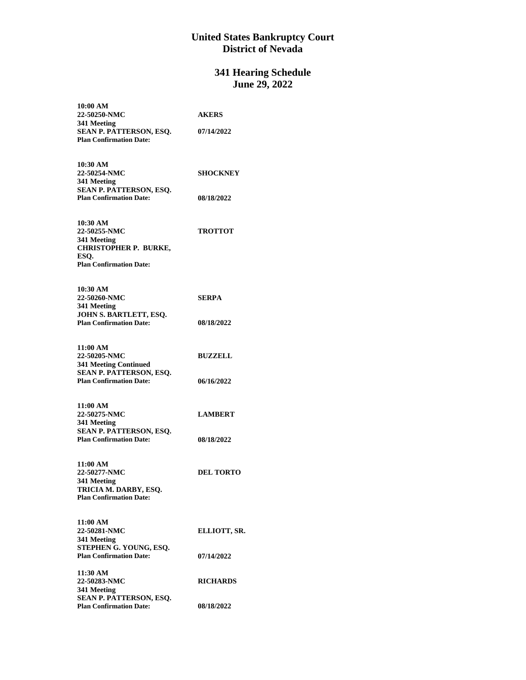#### **United States Bankruptcy Court District of Nevada**

#### **341 Hearing Schedule June 29, 2022**

| 10:00 AM                                                       |                  |
|----------------------------------------------------------------|------------------|
| 22-50250-NMC                                                   | <b>AKERS</b>     |
| 341 Meeting                                                    |                  |
| SEAN P. PATTERSON, ESQ.                                        | 07/14/2022       |
| <b>Plan Confirmation Date:</b>                                 |                  |
|                                                                |                  |
|                                                                |                  |
| 10:30 AM                                                       |                  |
| 22-50254-NMC                                                   | <b>SHOCKNEY</b>  |
| 341 Meeting                                                    |                  |
| SEAN P. PATTERSON, ESQ.                                        |                  |
| <b>Plan Confirmation Date:</b>                                 | 08/18/2022       |
|                                                                |                  |
|                                                                |                  |
| 10:30 AM                                                       |                  |
| 22-50255-NMC                                                   | <b>TROTTOT</b>   |
| 341 Meeting                                                    |                  |
| <b>CHRISTOPHER P. BURKE,</b>                                   |                  |
| ESO.                                                           |                  |
| <b>Plan Confirmation Date:</b>                                 |                  |
|                                                                |                  |
|                                                                |                  |
| 10:30 AM                                                       |                  |
| 22-50260-NMC                                                   | <b>SERPA</b>     |
| 341 Meeting                                                    |                  |
| JOHN S. BARTLETT, ESQ.                                         |                  |
| <b>Plan Confirmation Date:</b>                                 | 08/18/2022       |
|                                                                |                  |
| 11:00 AM                                                       |                  |
| 22-50205-NMC                                                   | <b>BUZZELL</b>   |
|                                                                |                  |
| <b>341 Meeting Continued</b><br><b>SEAN P. PATTERSON, ESO.</b> |                  |
| <b>Plan Confirmation Date:</b>                                 | 06/16/2022       |
|                                                                |                  |
|                                                                |                  |
| 11:00 AM                                                       |                  |
| 22-50275-NMC                                                   | <b>LAMBERT</b>   |
| 341 Meeting                                                    |                  |
| SEAN P. PATTERSON, ESQ.                                        |                  |
| <b>Plan Confirmation Date:</b>                                 | 08/18/2022       |
|                                                                |                  |
|                                                                |                  |
| 11:00 AM                                                       |                  |
| 22-50277-NMC                                                   | <b>DEL TORTO</b> |
| 341 Meeting                                                    |                  |
| TRICIA M. DARBY, ESQ.                                          |                  |
| <b>Plan Confirmation Date:</b>                                 |                  |
|                                                                |                  |
|                                                                |                  |
| 11:00 AM                                                       |                  |
| 22-50281-NMC                                                   | ELLIOTT, SR.     |
| 341 Meeting                                                    |                  |
| STEPHEN G. YOUNG, ESQ.                                         |                  |
| <b>Plan Confirmation Date:</b>                                 | 07/14/2022       |
|                                                                |                  |
| 11:30 AM                                                       |                  |
| 22-50283-NMC                                                   | <b>RICHARDS</b>  |
| 341 Meeting                                                    |                  |
| SEAN P. PATTERSON, ESQ.                                        |                  |
| <b>Plan Confirmation Date:</b>                                 | 08/18/2022       |